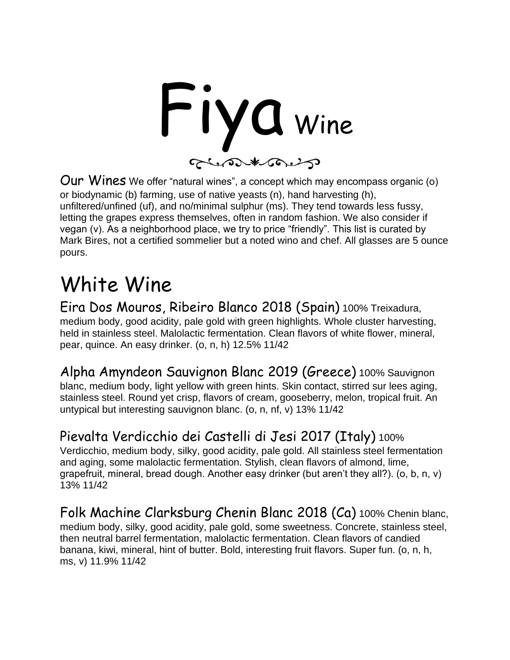

Our Wines We offer "natural wines", a concept which may encompass organic (o) or biodynamic (b) farming, use of native yeasts (n), hand harvesting (h), unfiltered/unfined (uf), and no/minimal sulphur (ms). They tend towards less fussy, letting the grapes express themselves, often in random fashion. We also consider if vegan (v). As a neighborhood place, we try to price "friendly". This list is curated by Mark Bires, not a certified sommelier but a noted wino and chef. All glasses are 5 ounce pours.

### White Wine

Eira Dos Mouros, Ribeiro Blanco 2018 (Spain) 100% Treixadura, medium body, good acidity, pale gold with green highlights. Whole cluster harvesting, held in stainless steel. Malolactic fermentation. Clean flavors of white flower, mineral, pear, quince. An easy drinker. (o, n, h) 12.5% 11/42

Alpha Amyndeon Sauvignon Blanc 2019 (Greece) 100% Sauvignon blanc, medium body, light yellow with green hints. Skin contact, stirred sur lees aging, stainless steel. Round yet crisp, flavors of cream, gooseberry, melon, tropical fruit. An untypical but interesting sauvignon blanc. (o, n, nf, v) 13% 11/42

### Pievalta Verdicchio dei Castelli di Jesi 2017 (Italy) 100%

Verdicchio, medium body, silky, good acidity, pale gold. All stainless steel fermentation and aging, some malolactic fermentation. Stylish, clean flavors of almond, lime, grapefruit, mineral, bread dough. Another easy drinker (but aren't they all?). (o, b, n, v) 13% 11/42

Folk Machine Clarksburg Chenin Blanc 2018 (Ca) 100% Chenin blanc, medium body, silky, good acidity, pale gold, some sweetness. Concrete, stainless steel, then neutral barrel fermentation, malolactic fermentation. Clean flavors of candied banana, kiwi, mineral, hint of butter. Bold, interesting fruit flavors. Super fun. (o, n, h, ms, v) 11.9% 11/42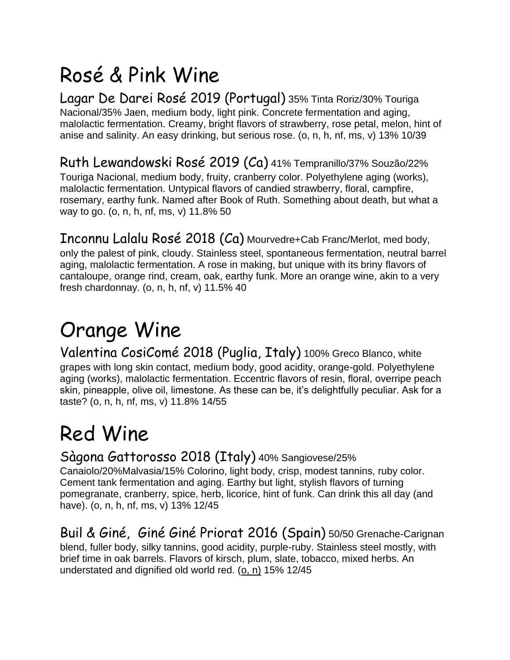## Rosé & Pink Wine

Lagar De Darei Rosé 2019 (Portugal) 35% Tinta Roriz/30% Touriga Nacional/35% Jaen, medium body, light pink. Concrete fermentation and aging, malolactic fermentation. Creamy, bright flavors of strawberry, rose petal, melon, hint of anise and salinity. An easy drinking, but serious rose. (o, n, h, nf, ms, v) 13% 10/39

### Ruth Lewandowski Rosé 2019 (Ca) 41% Tempranillo/37% Souzão/22%

Touriga Nacional, medium body, fruity, cranberry color. Polyethylene aging (works), malolactic fermentation. Untypical flavors of candied strawberry, floral, campfire, rosemary, earthy funk. Named after Book of Ruth. Something about death, but what a way to go. (o, n, h, nf, ms, v) 11.8% 50

Inconnu Lalalu Rosé 2018 (Ca) Mourvedre+Cab Franc/Merlot, med body, only the palest of pink, cloudy. Stainless steel, spontaneous fermentation, neutral barrel aging, malolactic fermentation. A rose in making, but unique with its briny flavors of cantaloupe, orange rind, cream, oak, earthy funk. More an orange wine, akin to a very fresh chardonnay. (o, n, h, nf, v)  $11.5\%$  40

# Orange Wine

Valentina CosiComé 2018 (Puglia, Italy) 100% Greco Blanco, white grapes with long skin contact, medium body, good acidity, orange-gold. Polyethylene aging (works), malolactic fermentation. Eccentric flavors of resin, floral, overripe peach skin, pineapple, olive oil, limestone. As these can be, it's delightfully peculiar. Ask for a taste? (o, n, h, nf, ms, v) 11.8% 14/55

## Red Wine

#### Sàgona Gattorosso 2018 (Italy) 40% Sangiovese/25%

Canaiolo/20%Malvasia/15% Colorino, light body, crisp, modest tannins, ruby color. Cement tank fermentation and aging. Earthy but light, stylish flavors of turning pomegranate, cranberry, spice, herb, licorice, hint of funk. Can drink this all day (and have). (o, n, h, nf, ms, v) 13% 12/45

Buil & Giné, Giné Giné Priorat 2016 (Spain) 50/50 Grenache-Carignan blend, fuller body, silky tannins, good acidity, purple-ruby. Stainless steel mostly, with brief time in oak barrels. Flavors of kirsch, plum, slate, tobacco, mixed herbs. An understated and dignified old world red. (o, n) 15% 12/45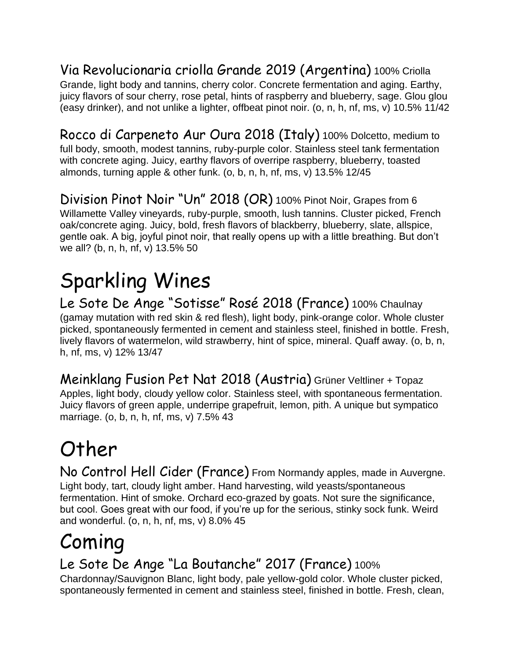Via Revolucionaria criolla Grande 2019 (Argentina) 100% Criolla Grande, light body and tannins, cherry color. Concrete fermentation and aging. Earthy, juicy flavors of sour cherry, rose petal, hints of raspberry and blueberry, sage. Glou glou (easy drinker), and not unlike a lighter, offbeat pinot noir. (o, n, h, nf, ms, v) 10.5% 11/42

Rocco di Carpeneto Aur Oura 2018 (Italy) 100% Dolcetto, medium to full body, smooth, modest tannins, ruby-purple color. Stainless steel tank fermentation with concrete aging. Juicy, earthy flavors of overripe raspberry, blueberry, toasted almonds, turning apple & other funk. (o, b, n, h, nf, ms, v) 13.5% 12/45

Division Pinot Noir "Un" 2018 (OR) 100% Pinot Noir, Grapes from 6 Willamette Valley vineyards, ruby-purple, smooth, lush tannins. Cluster picked, French oak/concrete aging. Juicy, bold, fresh flavors of blackberry, blueberry, slate, allspice, gentle oak. A big, joyful pinot noir, that really opens up with a little breathing. But don't we all? (b, n, h, nf, v) 13.5% 50

# Sparkling Wines

Le Sote De Ange "Sotisse" Rosé 2018 (France) 100% Chaulnay (gamay mutation with red skin & red flesh), light body, pink-orange color. Whole cluster picked, spontaneously fermented in cement and stainless steel, finished in bottle. Fresh, lively flavors of watermelon, wild strawberry, hint of spice, mineral. Quaff away. (o, b, n, h, nf, ms, v) 12% 13/47

Meinklang Fusion Pet Nat 2018 (Austria) Grüner Veltliner + Topaz Apples, light body, cloudy yellow color. Stainless steel, with spontaneous fermentation. Juicy flavors of green apple, underripe grapefruit, lemon, pith. A unique but sympatico marriage. (o, b, n, h, nf, ms, v) 7.5% 43

# Other

No Control Hell Cider (France) From Normandy apples, made in Auvergne. Light body, tart, cloudy light amber. Hand harvesting, wild yeasts/spontaneous fermentation. Hint of smoke. Orchard eco-grazed by goats. Not sure the significance, but cool. Goes great with our food, if you're up for the serious, stinky sock funk. Weird and wonderful. (o, n, h, nf, ms, v) 8.0% 45

# Coming

### Le Sote De Ange "La Boutanche" 2017 (France) 100%

Chardonnay/Sauvignon Blanc, light body, pale yellow-gold color. Whole cluster picked, spontaneously fermented in cement and stainless steel, finished in bottle. Fresh, clean,